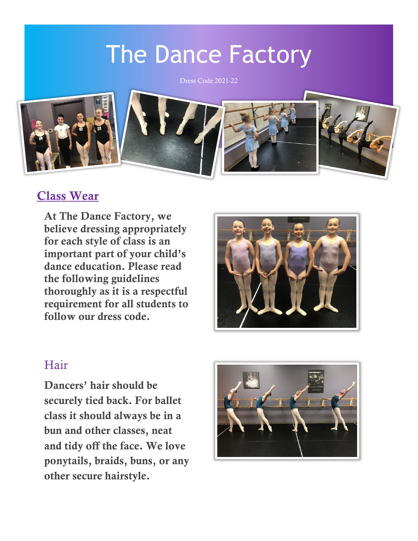# The Dance Factory

Dress Code 2021-22



#### Class Wear

At The Dance Factory, we believe dressing appropriately for each style of class is an important part of your child's dance education. Please read the following guidelines thoroughly as it is a respectful requirement for all students to follow our dress code.



#### Hair

Dancers' hair should be securely tied back. For ballet class it should always be in a bun and other classes, neat and tidy off the face. We love ponytails, braids, buns, or any other secure hairstyle.

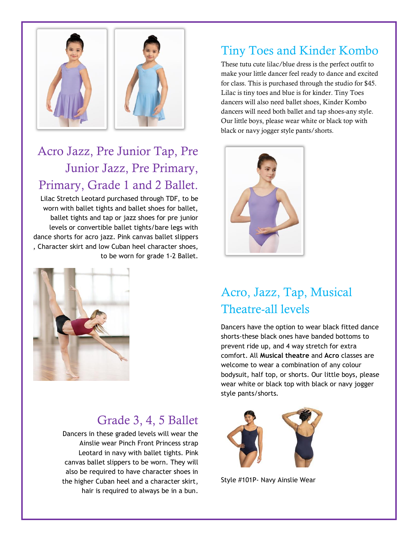

### Acro Jazz, Pre Junior Tap, Pre Junior Jazz, Pre Primary, Primary, Grade 1 and 2 Ballet.

Lilac Stretch Leotard purchased through TDF, to be worn with ballet tights and ballet shoes for ballet, ballet tights and tap or jazz shoes for pre junior levels or convertible ballet tights/bare legs with dance shorts for acro jazz. Pink canvas ballet slippers , Character skirt and low Cuban heel character shoes, to be worn for grade 1-2 Ballet.



#### Grade 3, 4, 5 Ballet

Dancers in these graded levels will wear the Ainslie wear Pinch Front Princess strap Leotard in navy with ballet tights. Pink canvas ballet slippers to be worn. They will also be required to have character shoes in the higher Cuban heel and a character skirt, hair is required to always be in a bun.

#### Tiny Toes and Kinder Kombo

These tutu cute lilac/blue dress is the perfect outfit to make your little dancer feel ready to dance and excited for class. This is purchased through the studio for \$45. Lilac is tiny toes and blue is for kinder. Tiny Toes dancers will also need ballet shoes, Kinder Kombo dancers will need both ballet and tap shoes-any style. Our little boys, please wear white or black top with black or navy jogger style pants/shorts.



#### Acro, Jazz, Tap, Musical Theatre-all levels

Dancers have the option to wear black fitted dance shorts-these black ones have banded bottoms to prevent ride up, and 4 way stretch for extra comfort. All **Musical theatre** and **Acro** classes are welcome to wear a combination of any colour bodysuit, half top, or shorts. Our little boys, please wear white or black top with black or navy jogger style pants/shorts.



Style #101P- Navy Ainslie Wear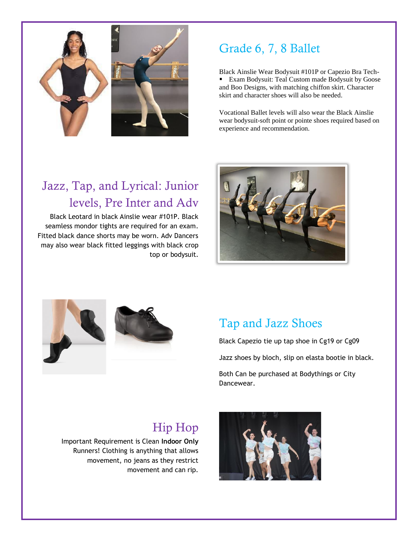

#### Grade 6, 7, 8 Ballet

Black Ainslie Wear Bodysuit #101P or Capezio Bra Tech-Exam Bodysuit: Teal Custom made Bodysuit by Goose and Boo Designs, with matching chiffon skirt. Character skirt and character shoes will also be needed.

Vocational Ballet levels will also wear the Black Ainslie wear bodysuit-soft point or pointe shoes required based on experience and recommendation.

### Jazz, Tap, and Lyrical: Junior levels, Pre Inter and Adv

Black Leotard in black Ainslie wear #101P. Black seamless mondor tights are required for an exam. Fitted black dance shorts may be worn. Adv Dancers may also wear black fitted leggings with black crop top or bodysuit.







#### Tap and Jazz Shoes

Black Capezio tie up tap shoe in Cg19 or Cg09

Jazz shoes by bloch, slip on elasta bootie in black.

Both Can be purchased at Bodythings or City Dancewear.

### Hip Hop

Important Requirement is Clean **Indoor Only** Runners! Clothing is anything that allows movement, no jeans as they restrict movement and can rip.